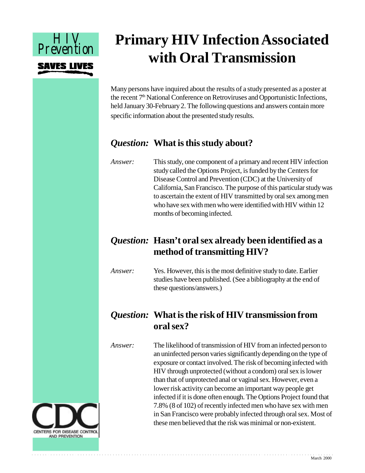

# **Primary HIV Infection Associated with Oral Transmission**

Many persons have inquired about the results of a study presented as a poster at the recent  $7<sup>th</sup>$  National Conference on Retroviruses and Opportunistic Infections, held January 30-February 2. The following questions and answers contain more specific information about the presented study results.

## *Question:* **What is this study about?**

*Answer:* This study, one component of a primary and recent HIV infection study called the Options Project, is funded by the Centers for Disease Control and Prevention (CDC) at the University of California, San Francisco. The purpose of this particular study was to ascertain the extent of HIV transmitted by oral sex among men who have sex with men who were identified with HIV within 12 months of becoming infected.

## *Question:* **Hasn't oral sex already been identified as a method of transmitting HIV?**

*Answer:* Yes. However, this is the most definitive study to date. Earlier studies have been published. (See a bibliography at the end of these questions/answers.)

## *Question:* **What is the risk of HIV transmission from oral sex?**

*Answer:* The likelihood of transmission of HIV from an infected person to an uninfected person varies significantly depending on the type of exposure or contact involved. The risk of becoming infected with HIV through unprotected (without a condom) oral sex is lower than that of unprotected anal or vaginal sex. However, even a lower risk activity can become an important way people get infected if it is done often enough. The Options Project found that 7.8% (8 of 102) of recently infected men who have sex with men in San Francisco were probably infected through oral sex. Most of these men believed that the risk was minimal or non-existent.

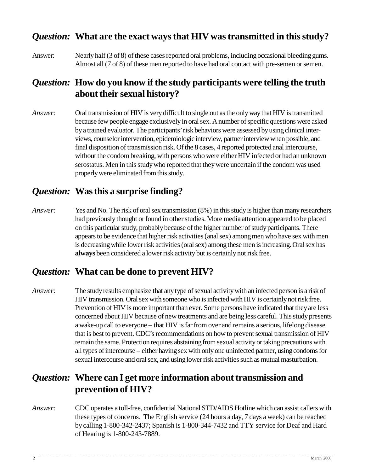#### *Question:* **What are the exact ways that HIV was transmitted in this study?**

Answer: Nearly half (3 of 8) of these cases reported oral problems, including occasional bleeding gums. Almost all (7 of 8) of these men reported to have had oral contact with pre-semen or semen.

### *Question:* **How do you know if the study participants were telling the truth about their sexual history?**

*Answer:* Oral transmission of HIV is very difficult to single out as the only way that HIV is transmitted because few people engage exclusively in oral sex. A number of specific questions were asked by a trained evaluator. The participants' risk behaviors were assessed by using clinical interviews, counselor intervention, epidemiologic interview, partner interview when possible, and final disposition of transmission risk. Of the 8 cases, 4 reported protected anal intercourse, without the condom breaking, with persons who were either HIV infected or had an unknown serostatus. Men in this study who reported that they were uncertain if the condom was used properly were eliminated from this study.

#### *Question:* **Was this a surprise finding?**

*Answer:* Yes and No. The risk of oral sex transmission (8%) in this study is higher than many researchers had previously thought or found in other studies. More media attention appeared to be placed on this particular study, probably because of the higher number of study participants. There appears to be evidence that higher risk activities (anal sex) among men who have sex with men is decreasing while lower risk activities (oral sex) among these men is increasing. Oral sex has **always** been considered a lower risk activity but is certainly not risk free.

#### *Question:* **What can be done to prevent HIV?**

*Answer:* The study results emphasize that any type of sexual activity with an infected person is a risk of HIV transmission. Oral sex with someone who is infected with HIV is certainly not risk free. Prevention of HIV is more important than ever. Some persons have indicated that they are less concerned about HIV because of new treatments and are being less careful. This study presents a wake-up call to everyone – that HIV is far from over and remains a serious, lifelong disease that is best to prevent. CDC's recommendations on how to prevent sexual transmission of HIV remain the same. Protection requires abstaining from sexual activity or taking precautions with all types of intercourse – either having sex with only one uninfected partner, using condoms for sexual intercourse and oral sex, and using lower risk activities such as mutual masturbation.

#### *Question:* **Where can I get more information about transmission and prevention of HIV?**

*Answer:* CDC operates a toll-free, confidential National STD/AIDS Hotline which can assist callers with these types of concerns. The English service (24 hours a day, 7 days a week) can be reached by calling 1-800-342-2437; Spanish is 1-800-344-7432 and TTY service for Deaf and Hard of Hearing is 1-800-243-7889.